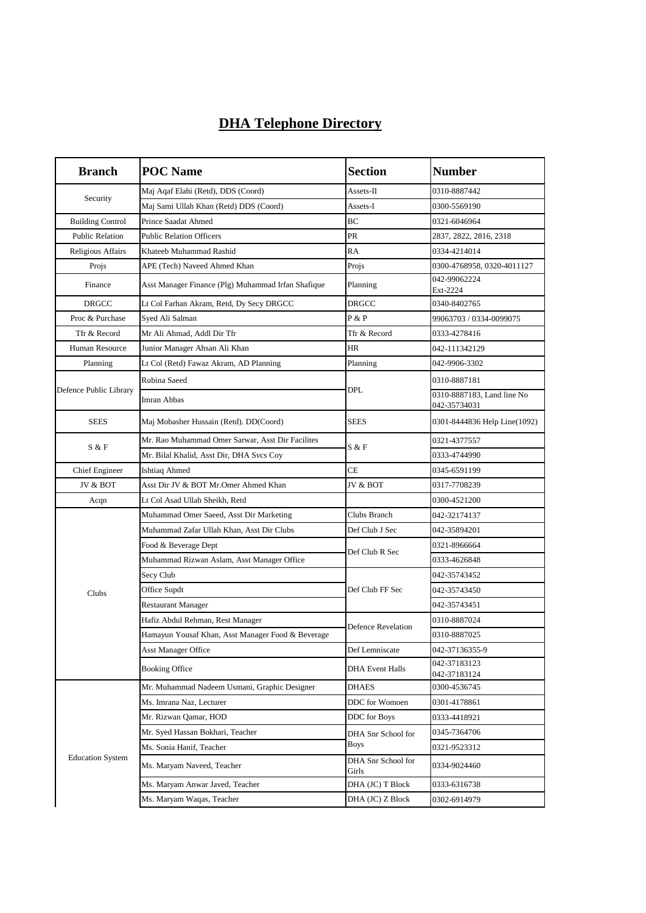## **DHA Telephone Directory**

| <b>Branch</b>           | <b>POC</b> Name                                    | <b>Section</b>              | <b>Number</b>                              |
|-------------------------|----------------------------------------------------|-----------------------------|--------------------------------------------|
| Security                | Maj Aqaf Elahi (Retd), DDS (Coord)                 | $\operatorname{Assets-II}$  | 0310-8887442                               |
|                         | Maj Sami Ullah Khan (Retd) DDS (Coord)             | Assets-I                    | 0300-5569190                               |
| <b>Building Control</b> | Prince Saadat Ahmed                                | BC                          | 0321-6046964                               |
| <b>Public Relation</b>  | <b>Public Relation Officers</b>                    | PR                          | 2837, 2822, 2816, 2318                     |
| Religious Affairs       | Khateeb Muhammad Rashid                            | <b>RA</b>                   | 0334-4214014                               |
| Projs                   | APE (Tech) Naveed Ahmed Khan                       | Projs                       | 0300-4768958, 0320-4011127                 |
| Finance                 | Asst Manager Finance (Plg) Muhammad Irfan Shafique | Planning                    | 042-99062224<br>Ext-2224                   |
| <b>DRGCC</b>            | Lt Col Farhan Akram, Retd, Dy Secy DRGCC           | <b>DRGCC</b>                | 0340-8402765                               |
| Proc & Purchase         | Syed Ali Salman                                    | P & P                       | 99063703 / 0334-0099075                    |
| Tfr & Record            | Mr Ali Ahmad, Addl Dir Tfr                         | Tfr & Record                | 0333-4278416                               |
| <b>Human Resource</b>   | Junior Manager Ahsan Ali Khan                      | <b>HR</b>                   | 042-111342129                              |
| Planning                | Lt Col (Retd) Fawaz Akram, AD Planning             | Planning                    | 042-9906-3302                              |
| Defence Public Library  | Rubina Saeed                                       | <b>DPL</b>                  | 0310-8887181                               |
|                         | Imran Abbas                                        |                             | 0310-8887183, Land line No<br>042-35734031 |
| <b>SEES</b>             | Maj Mobasher Hussain (Retd). DD(Coord)             | <b>SEES</b>                 | 0301-8444836 Help Line(1092)               |
| S & F                   | Mr. Rao Muhammad Omer Sarwar, Asst Dir Facilites   | S & F                       | 0321-4377557                               |
|                         | Mr. Bilal Khalid, Asst Dir, DHA Svcs Coy           |                             | 0333-4744990                               |
| <b>Chief Engineer</b>   | Ishtiaq Ahmed                                      | СE                          | 0345-6591199                               |
| JV & BOT                | Asst Dir JV & BOT Mr.Omer Ahmed Khan               | JV & BOT                    | 0317-7708239                               |
| Acqn                    | Lt Col Asad Ullah Sheikh, Retd                     |                             | 0300-4521200                               |
|                         | Muhammad Omer Saeed, Asst Dir Marketing            | Clubs Branch                | 042-32174137                               |
|                         | Muhammad Zafar Ullah Khan, Asst Dir Clubs          | Def Club J Sec              | 042-35894201                               |
|                         | Food & Beverage Dept                               | Def Club R Sec              | 0321-8966664                               |
|                         | Muhammad Rizwan Aslam, Asst Manager Office         |                             | 0333-4626848                               |
|                         | Secy Club                                          | Def Club FF Sec             | 042-35743452                               |
| Clubs                   | Office Supdt                                       |                             | 042-35743450                               |
|                         | <b>Restaurant Manager</b>                          |                             | 042-35743451                               |
|                         | Hafiz Abdul Rehman, Rest Manager                   | <b>Defence Revelation</b>   | 0310-8887024                               |
|                         | Hamayun Yousaf Khan, Asst Manager Food & Beverage  |                             | 0310-8887025                               |
|                         | Asst Manager Office                                | Def Lemniscate              | 042-37136355-9                             |
|                         | <b>Booking Office</b>                              | <b>DHA Event Halls</b>      | 042-37183123<br>042-37183124               |
|                         | Mr. Muhammad Nadeem Usmani, Graphic Designer       | <b>DHAES</b>                | 0300-4536745                               |
|                         | Ms. Imrana Naz, Lecturer                           | DDC for Womoen              | 0301-4178861                               |
| <b>Education System</b> | Mr. Rizwan Qamar, HOD                              | DDC for Boys                | 0333-4418921                               |
|                         | Mr. Syed Hassan Bokhari, Teacher                   | DHA Snr School for          | 0345-7364706                               |
|                         | Ms. Sonia Hanif, Teacher                           | <b>Boys</b>                 | 0321-9523312                               |
|                         | Ms. Maryam Naveed, Teacher                         | DHA Snr School for<br>Girls | 0334-9024460                               |
|                         | Ms. Maryam Anwar Javed, Teacher                    | DHA (JC) T Block            | 0333-6316738                               |
|                         | Ms. Maryam Waqas, Teacher                          | DHA (JC) Z Block            | 0302-6914979                               |